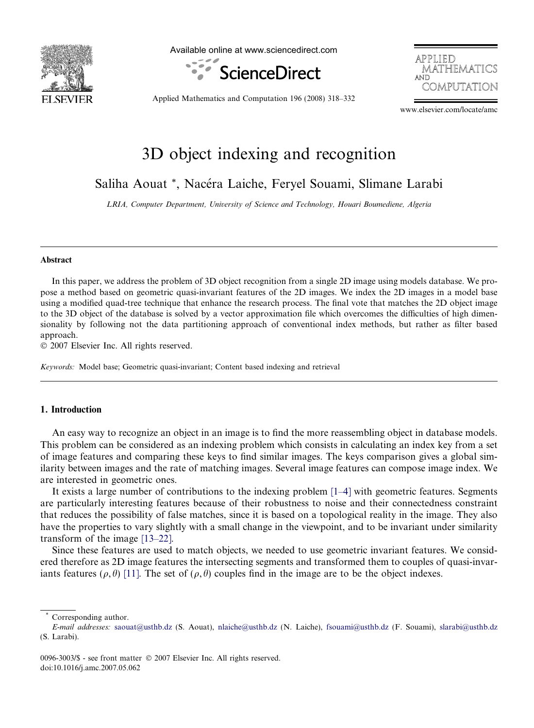

Available online at www.sciencedirect.com





Applied Mathematics and Computation 196 (2008) 318–332

www.elsevier.com/locate/amc

# 3D object indexing and recognition

Saliha Aouat \*, Nacéra Laiche, Feryel Souami, Slimane Larabi

LRIA, Computer Department, University of Science and Technology, Houari Boumediene, Algeria

### Abstract

In this paper, we address the problem of 3D object recognition from a single 2D image using models database. We propose a method based on geometric quasi-invariant features of the 2D images. We index the 2D images in a model base using a modified quad-tree technique that enhance the research process. The final vote that matches the 2D object image to the 3D object of the database is solved by a vector approximation file which overcomes the difficulties of high dimensionality by following not the data partitioning approach of conventional index methods, but rather as filter based approach.

© 2007 Elsevier Inc. All rights reserved.

Keywords: Model base; Geometric quasi-invariant; Content based indexing and retrieval

# 1. Introduction

An easy way to recognize an object in an image is to find the more reassembling object in database models. This problem can be considered as an indexing problem which consists in calculating an index key from a set of image features and comparing these keys to find similar images. The keys comparison gives a global similarity between images and the rate of matching images. Several image features can compose image index. We are interested in geometric ones.

It exists a large number of contributions to the indexing problem [\[1–4\]](#page-13-0) with geometric features. Segments are particularly interesting features because of their robustness to noise and their connectedness constraint that reduces the possibility of false matches, since it is based on a topological reality in the image. They also have the properties to vary slightly with a small change in the viewpoint, and to be invariant under similarity transform of the image [\[13–22\].](#page-14-0)

Since these features are used to match objects, we needed to use geometric invariant features. We considered therefore as 2D image features the intersecting segments and transformed them to couples of quasi-invariants features ( $\rho$ , $\theta$ ) [\[11\].](#page-14-0) The set of ( $\rho$ , $\theta$ ) couples find in the image are to be the object indexes.

Corresponding author.

E-mail addresses: [saouat@usthb.dz](mailto:saouat@usthb.dz) (S. Aouat), [nlaiche@usthb.dz](mailto:nlaiche@usthb.dz) (N. Laiche), [fsouami@usthb.dz](mailto:fsouami@usthb.dz) (F. Souami), [slarabi@usthb.dz](mailto:slarabi@usthb.dz) (S. Larabi).

<sup>0096-3003/\$ -</sup> see front matter © 2007 Elsevier Inc. All rights reserved. doi:10.1016/j.amc.2007.05.062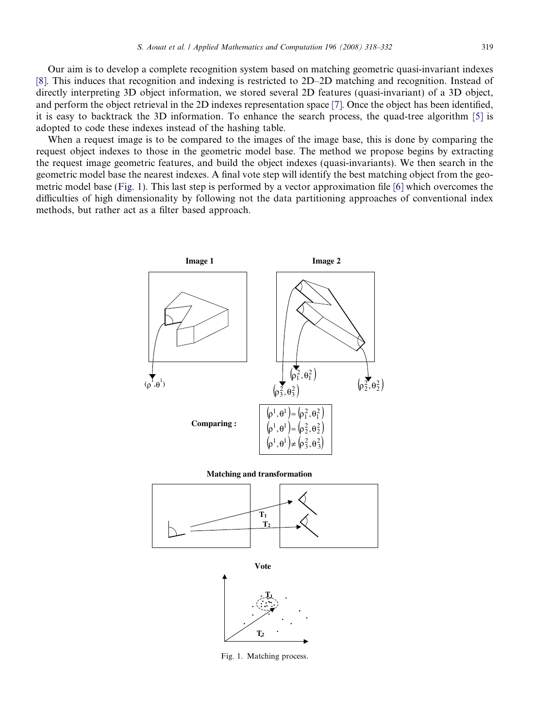Our aim is to develop a complete recognition system based on matching geometric quasi-invariant indexes [\[8\]](#page-14-0). This induces that recognition and indexing is restricted to 2D–2D matching and recognition. Instead of directly interpreting 3D object information, we stored several 2D features (quasi-invariant) of a 3D object, and perform the object retrieval in the 2D indexes representation space [\[7\].](#page-14-0) Once the object has been identified, it is easy to backtrack the 3D information. To enhance the search process, the quad-tree algorithm [\[5\]](#page-14-0) is adopted to code these indexes instead of the hashing table.

When a request image is to be compared to the images of the image base, this is done by comparing the request object indexes to those in the geometric model base. The method we propose begins by extracting the request image geometric features, and build the object indexes (quasi-invariants). We then search in the geometric model base the nearest indexes. A final vote step will identify the best matching object from the geometric model base (Fig. 1). This last step is performed by a vector approximation file [\[6\]](#page-14-0) which overcomes the difficulties of high dimensionality by following not the data partitioning approaches of conventional index methods, but rather act as a filter based approach.



Fig. 1. Matching process.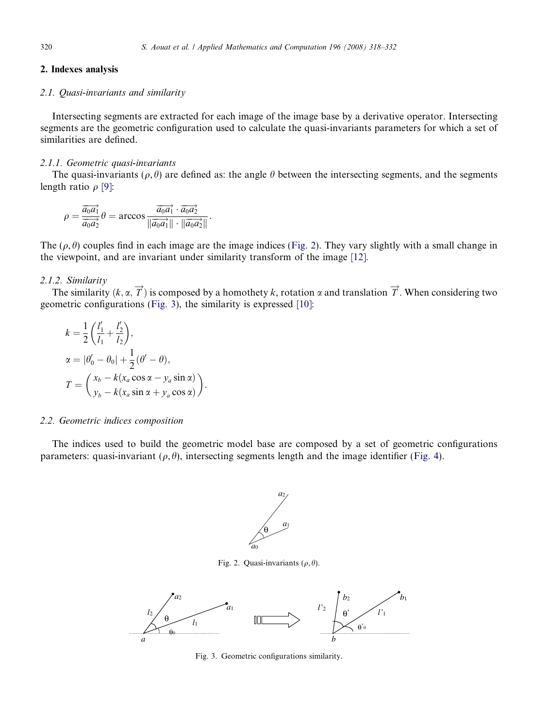# <span id="page-2-0"></span>2. Indexes analysis

# 2.1. Quasi-invariants and similarity

Intersecting segments are extracted for each image of the image base by a derivative operator. Intersecting segments are the geometric configuration used to calculate the quasi-invariants parameters for which a set of similarities are defined.

### 2.1.1. Geometric quasi-invariants

The quasi-invariants ( $\rho$ ,  $\theta$ ) are defined as: the angle  $\theta$  between the intersecting segments, and the segments length ratio  $\rho$  [\[9\]:](#page-14-0)

$$
\rho = \frac{\overrightarrow{a_0 a_1}}{\overrightarrow{a_0 a_2}} \theta = \arccos \frac{\overrightarrow{a_0 a_1} \cdot \overrightarrow{a_0 a_2}}{\|\overrightarrow{a_0 a_1}\| \cdot \|\overrightarrow{a_0 a_2}\|}.
$$

The  $(\rho, \theta)$  couples find in each image are the image indices (Fig. 2). They vary slightly with a small change in the viewpoint, and are invariant under similarity transform of the image [\[12\]](#page-14-0).

# 2.1.2. Similarity

The similarity  $(k, \alpha, \overrightarrow{T})$  is composed by a homothety k, rotation  $\alpha$  and translation  $\overrightarrow{T}$ . When considering two geometric configurations (Fig. 3), the similarity is expressed [\[10\]:](#page-14-0)

$$
k = \frac{1}{2} \left( \frac{l'_1}{l_1} + \frac{l'_2}{l_2} \right),
$$
  
\n
$$
\alpha = |\theta'_0 - \theta_0| + \frac{1}{2} (\theta' - \theta),
$$
  
\n
$$
T = \left( \frac{x_b - k(x_a \cos \alpha - y_a \sin \alpha)}{y_b - k(x_a \sin \alpha + y_a \cos \alpha)} \right)
$$

:

#### 2.2. Geometric indices composition

The indices used to build the geometric model base are composed by a set of geometric configurations parameters: quasi-invariant ( $\rho$ ,  $\theta$ ), intersecting segments length and the image identifier [\(Fig. 4](#page-3-0)).



Fig. 2. Quasi-invariants  $(\rho, \theta)$ .



Fig. 3. Geometric configurations similarity.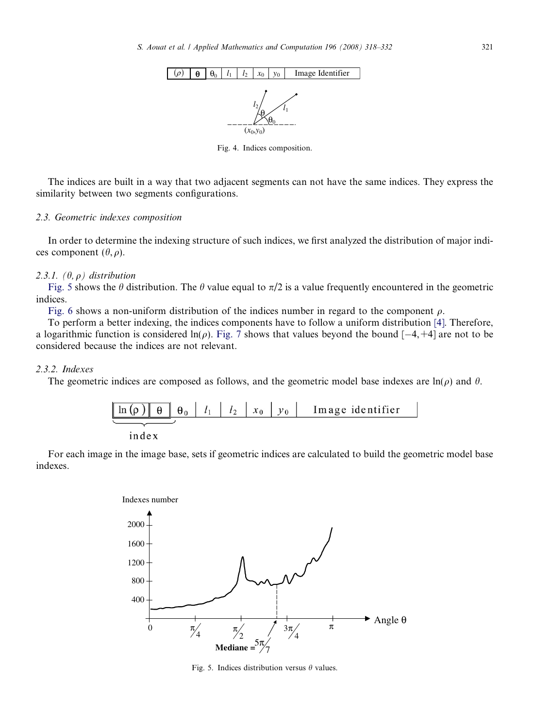<span id="page-3-0"></span>

Fig. 4. Indices composition.

The indices are built in a way that two adjacent segments can not have the same indices. They express the similarity between two segments configurations.

### 2.3. Geometric indexes composition

In order to determine the indexing structure of such indices, we first analyzed the distribution of major indices component  $(\theta, \rho)$ .

### 2.3.1.  $(\theta, \rho)$  distribution

Fig. 5 shows the  $\theta$  distribution. The  $\theta$  value equal to  $\pi/2$  is a value frequently encountered in the geometric indices.

[Fig. 6](#page-4-0) shows a non-uniform distribution of the indices number in regard to the component  $\rho$ .

To perform a better indexing, the indices components have to follow a uniform distribution [\[4\]](#page-14-0). Therefore, a logarithmic function is considered ln( $\rho$ ). [Fig. 7](#page-4-0) shows that values beyond the bound  $[-4, +4]$  are not to be considered because the indices are not relevant.

# 2.3.2. Indexes

The geometric indices are composed as follows, and the geometric model base indexes are  $\ln(\rho)$  and  $\theta$ .



index

For each image in the image base, sets if geometric indices are calculated to build the geometric model base indexes.



Fig. 5. Indices distribution versus  $\theta$  values.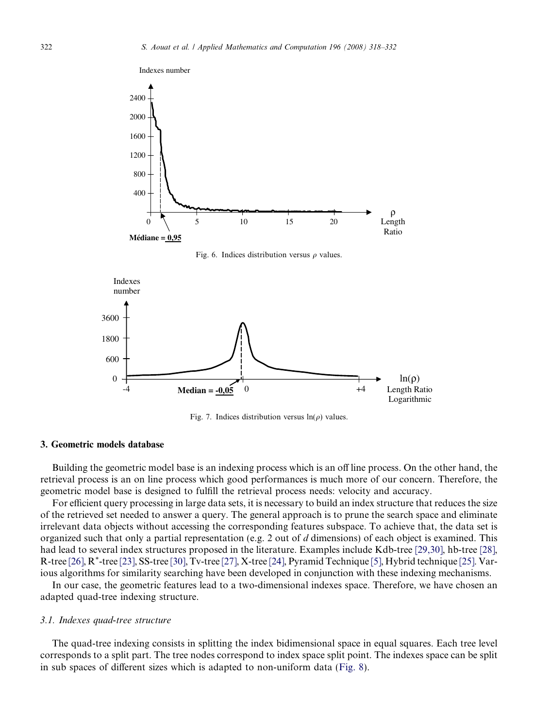<span id="page-4-0"></span>

Fig. 7. Indices distribution versus  $ln(\rho)$  values.

### 3. Geometric models database

Building the geometric model base is an indexing process which is an off line process. On the other hand, the retrieval process is an on line process which good performances is much more of our concern. Therefore, the geometric model base is designed to fulfill the retrieval process needs: velocity and accuracy.

For efficient query processing in large data sets, it is necessary to build an index structure that reduces the size of the retrieved set needed to answer a query. The general approach is to prune the search space and eliminate irrelevant data objects without accessing the corresponding features subspace. To achieve that, the data set is organized such that only a partial representation (e.g. 2 out of  $d$  dimensions) of each object is examined. This had lead to several index structures proposed in the literature. Examples include Kdb-tree [\[29,30\]](#page-14-0), hb-tree [\[28\],](#page-14-0) R-tree [\[26\]](#page-14-0), R\*-tree [\[23\]](#page-14-0), SS-tree [\[30\]](#page-14-0), Tv-tree [\[27\]](#page-14-0), X-tree [\[24\],](#page-14-0) Pyramid Technique [\[5\],](#page-14-0) Hybrid technique [\[25\].](#page-14-0) Various algorithms for similarity searching have been developed in conjunction with these indexing mechanisms.

In our case, the geometric features lead to a two-dimensional indexes space. Therefore, we have chosen an adapted quad-tree indexing structure.

### 3.1. Indexes quad-tree structure

The quad-tree indexing consists in splitting the index bidimensional space in equal squares. Each tree level corresponds to a split part. The tree nodes correspond to index space split point. The indexes space can be split in sub spaces of different sizes which is adapted to non-uniform data ([Fig. 8\)](#page-5-0).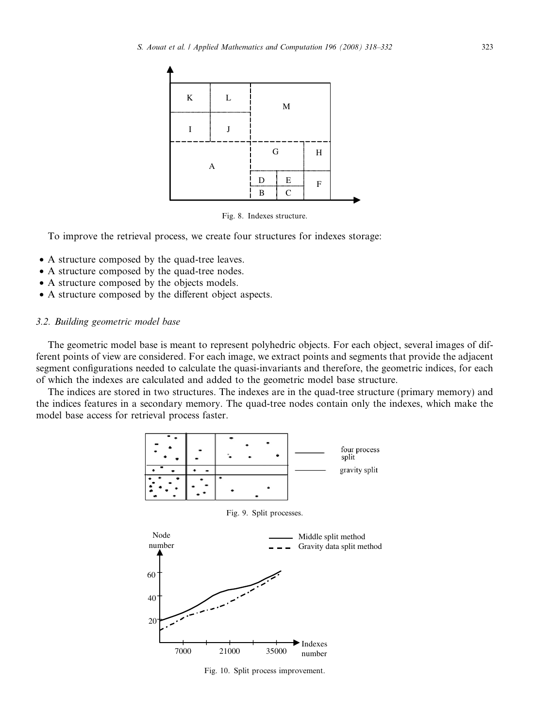<span id="page-5-0"></span>

Fig. 8. Indexes structure.

To improve the retrieval process, we create four structures for indexes storage:

- A structure composed by the quad-tree leaves.
- A structure composed by the quad-tree nodes.
- A structure composed by the objects models.
- A structure composed by the different object aspects.

# 3.2. Building geometric model base

The geometric model base is meant to represent polyhedric objects. For each object, several images of different points of view are considered. For each image, we extract points and segments that provide the adjacent segment configurations needed to calculate the quasi-invariants and therefore, the geometric indices, for each of which the indexes are calculated and added to the geometric model base structure.

The indices are stored in two structures. The indexes are in the quad-tree structure (primary memory) and the indices features in a secondary memory. The quad-tree nodes contain only the indexes, which make the model base access for retrieval process faster.



Fig. 10. Split process improvement.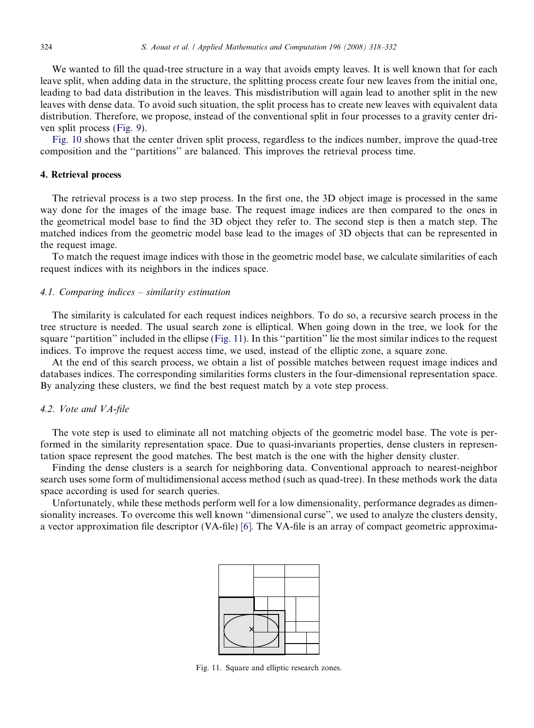We wanted to fill the quad-tree structure in a way that avoids empty leaves. It is well known that for each leave split, when adding data in the structure, the splitting process create four new leaves from the initial one, leading to bad data distribution in the leaves. This misdistribution will again lead to another split in the new leaves with dense data. To avoid such situation, the split process has to create new leaves with equivalent data distribution. Therefore, we propose, instead of the conventional split in four processes to a gravity center driven split process ([Fig. 9](#page-5-0)).

[Fig. 10](#page-5-0) shows that the center driven split process, regardless to the indices number, improve the quad-tree composition and the ''partitions'' are balanced. This improves the retrieval process time.

# 4. Retrieval process

The retrieval process is a two step process. In the first one, the 3D object image is processed in the same way done for the images of the image base. The request image indices are then compared to the ones in the geometrical model base to find the 3D object they refer to. The second step is then a match step. The matched indices from the geometric model base lead to the images of 3D objects that can be represented in the request image.

To match the request image indices with those in the geometric model base, we calculate similarities of each request indices with its neighbors in the indices space.

### 4.1. Comparing indices – similarity estimation

The similarity is calculated for each request indices neighbors. To do so, a recursive search process in the tree structure is needed. The usual search zone is elliptical. When going down in the tree, we look for the square "partition" included in the ellipse (Fig. 11). In this "partition" lie the most similar indices to the request indices. To improve the request access time, we used, instead of the elliptic zone, a square zone.

At the end of this search process, we obtain a list of possible matches between request image indices and databases indices. The corresponding similarities forms clusters in the four-dimensional representation space. By analyzing these clusters, we find the best request match by a vote step process.

# 4.2. Vote and VA-file

The vote step is used to eliminate all not matching objects of the geometric model base. The vote is performed in the similarity representation space. Due to quasi-invariants properties, dense clusters in representation space represent the good matches. The best match is the one with the higher density cluster.

Finding the dense clusters is a search for neighboring data. Conventional approach to nearest-neighbor search uses some form of multidimensional access method (such as quad-tree). In these methods work the data space according is used for search queries.

Unfortunately, while these methods perform well for a low dimensionality, performance degrades as dimensionality increases. To overcome this well known ''dimensional curse'', we used to analyze the clusters density, a vector approximation file descriptor (VA-file) [\[6\]](#page-14-0). The VA-file is an array of compact geometric approxima-



Fig. 11. Square and elliptic research zones.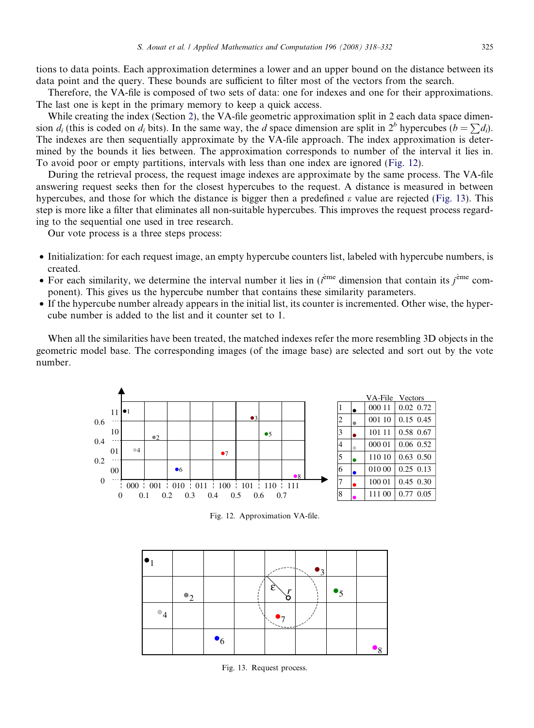tions to data points. Each approximation determines a lower and an upper bound on the distance between its data point and the query. These bounds are sufficient to filter most of the vectors from the search.

Therefore, the VA-file is composed of two sets of data: one for indexes and one for their approximations. The last one is kept in the primary memory to keep a quick access.

While creating the index (Section [2](#page-2-0)), the VA-file geometric approximation split in 2 each data space dimension d<sub>i</sub> (this is coded on d<sub>i</sub> bits). In the same way, the d space dimension are split in  $2^b$  hypercubes ( $b = \sum d_i$ ). The indexes are then sequentially approximate by the VA-file approach. The index approximation is determined by the bounds it lies between. The approximation corresponds to number of the interval it lies in. To avoid poor or empty partitions, intervals with less than one index are ignored (Fig. 12).

During the retrieval process, the request image indexes are approximate by the same process. The VA-file answering request seeks then for the closest hypercubes to the request. A distance is measured in between hypercubes, and those for which the distance is bigger then a predefined  $\varepsilon$  value are rejected (Fig. 13). This step is more like a filter that eliminates all non-suitable hypercubes. This improves the request process regarding to the sequential one used in tree research.

Our vote process is a three steps process:

- Initialization: for each request image, an empty hypercube counters list, labeled with hypercube numbers, is created.
- For each similarity, we determine the interval number it lies in  $(i<sup>ème</sup>$  dimension that contain its  $j<sup>ème</sup>$  component). This gives us the hypercube number that contains these similarity parameters.
- If the hypercube number already appears in the initial list, its counter is incremented. Other wise, the hypercube number is added to the list and it counter set to 1.

When all the similarities have been treated, the matched indexes refer the more resembling 3D objects in the geometric model base. The corresponding images (of the image base) are selected and sort out by the vote number.



Fig. 12. Approximation VA-file.



Fig. 13. Request process.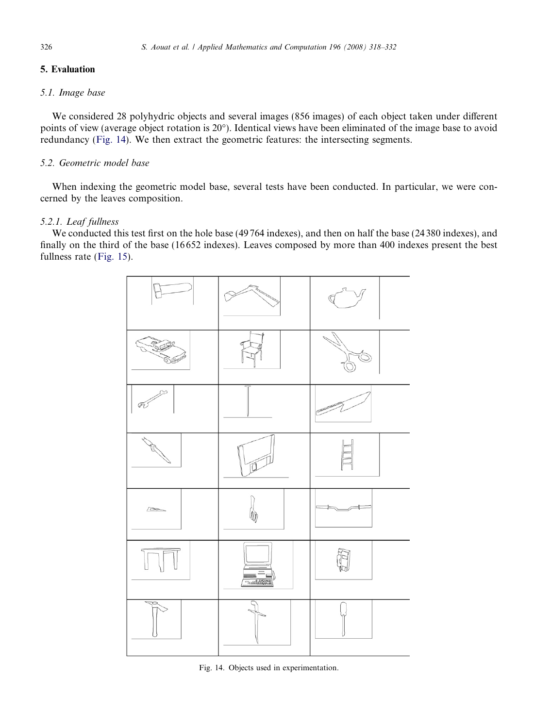# 5. Evaluation

# 5.1. Image base

We considered 28 polyhydric objects and several images (856 images) of each object taken under different points of view (average object rotation is 20°). Identical views have been eliminated of the image base to avoid redundancy (Fig. 14). We then extract the geometric features: the intersecting segments.

# 5.2. Geometric model base

When indexing the geometric model base, several tests have been conducted. In particular, we were concerned by the leaves composition.

# 5.2.1. Leaf fullness

We conducted this test first on the hole base (49764 indexes), and then on half the base (24380 indexes), and finally on the third of the base (16 652 indexes). Leaves composed by more than 400 indexes present the best fullness rate [\(Fig. 15\)](#page-9-0).



Fig. 14. Objects used in experimentation.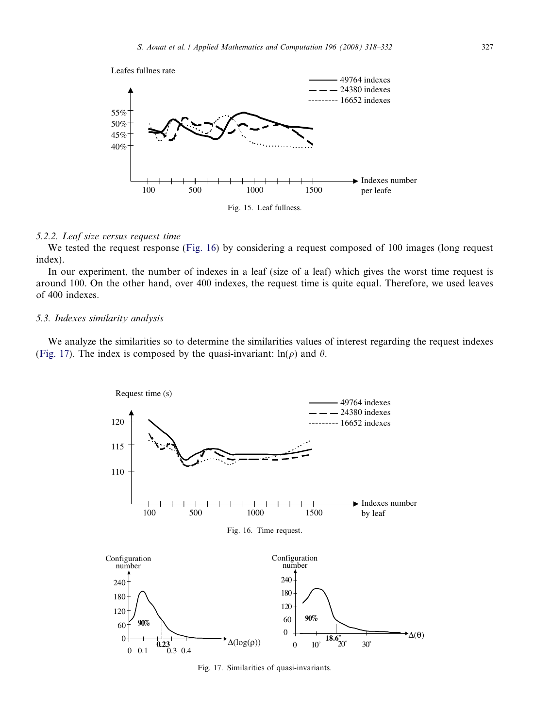<span id="page-9-0"></span>

### 5.2.2. Leaf size versus request time

We tested the request response (Fig. 16) by considering a request composed of 100 images (long request index).

In our experiment, the number of indexes in a leaf (size of a leaf) which gives the worst time request is around 100. On the other hand, over 400 indexes, the request time is quite equal. Therefore, we used leaves of 400 indexes.

# 5.3. Indexes similarity analysis

We analyze the similarities so to determine the similarities values of interest regarding the request indexes (Fig. 17). The index is composed by the quasi-invariant:  $\ln(\rho)$  and  $\theta$ .



Fig. 17. Similarities of quasi-invariants.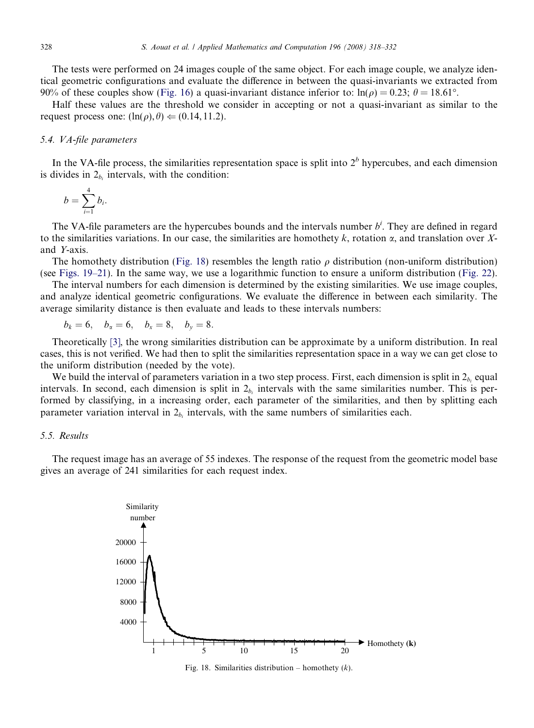The tests were performed on 24 images couple of the same object. For each image couple, we analyze identical geometric configurations and evaluate the difference in between the quasi-invariants we extracted from 90% of these couples show [\(Fig. 16\)](#page-9-0) a quasi-invariant distance inferior to:  $\ln(\rho) = 0.23$ ;  $\theta = 18.61^{\circ}$ .

Half these values are the threshold we consider in accepting or not a quasi-invariant as similar to the request process one:  $(\ln(\rho), \theta) \leftarrow (0.14, 11.2)$ .

### 5.4. VA-file parameters

In the VA-file process, the similarities representation space is split into  $2<sup>b</sup>$  hypercubes, and each dimension is divides in  $2<sub>b<sub>i</sub></sub>$  intervals, with the condition:

$$
b=\sum_{i=1}^4 b_i.
$$

The VA-file parameters are the hypercubes bounds and the intervals number  $b<sup>i</sup>$ . They are defined in regard to the similarities variations. In our case, the similarities are homothety  $k$ , rotation  $\alpha$ , and translation over Xand Y-axis.

The homothety distribution (Fig. 18) resembles the length ratio  $\rho$  distribution (non-uniform distribution) (see [Figs. 19–21](#page-11-0)). In the same way, we use a logarithmic function to ensure a uniform distribution [\(Fig. 22](#page-12-0)).

The interval numbers for each dimension is determined by the existing similarities. We use image couples, and analyze identical geometric configurations. We evaluate the difference in between each similarity. The average similarity distance is then evaluate and leads to these intervals numbers:

 $b_k = 6$ ,  $b_x = 6$ ,  $b_x = 8$ ,  $b_y = 8$ .

Theoretically [\[3\],](#page-14-0) the wrong similarities distribution can be approximate by a uniform distribution. In real cases, this is not verified. We had then to split the similarities representation space in a way we can get close to the uniform distribution (needed by the vote).

We build the interval of parameters variation in a two step process. First, each dimension is split in  $2<sub>b</sub>$  equal intervals. In second, each dimension is split in  $2<sub>b</sub>$  intervals with the same similarities number. This is performed by classifying, in a increasing order, each parameter of the similarities, and then by splitting each parameter variation interval in  $2<sub>b</sub>$  intervals, with the same numbers of similarities each.

### 5.5. Results

The request image has an average of 55 indexes. The response of the request from the geometric model base gives an average of 241 similarities for each request index.



Fig. 18. Similarities distribution – homothety  $(k)$ .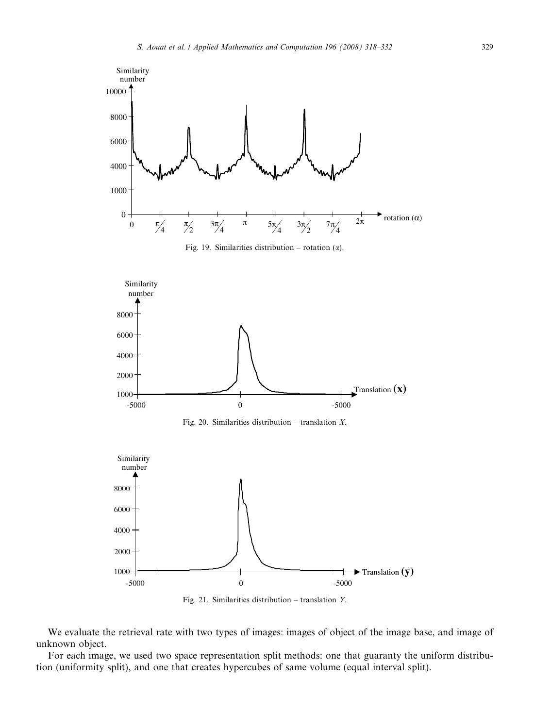<span id="page-11-0"></span>



We evaluate the retrieval rate with two types of images: images of object of the image base, and image of unknown object.

For each image, we used two space representation split methods: one that guaranty the uniform distribution (uniformity split), and one that creates hypercubes of same volume (equal interval split).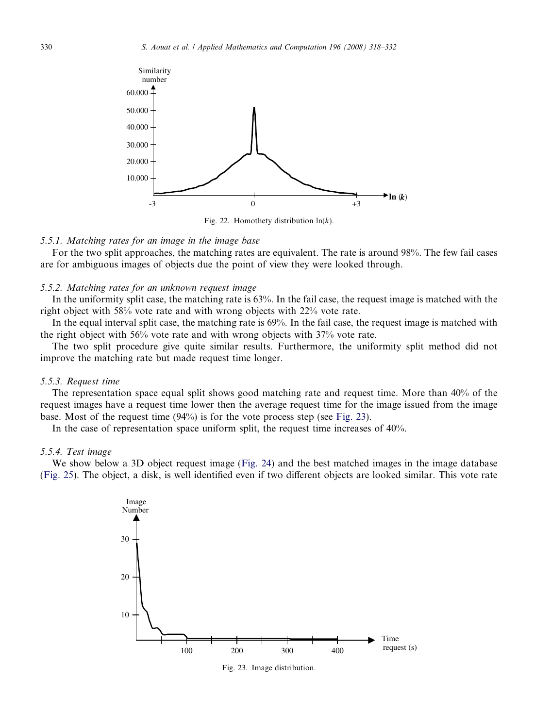<span id="page-12-0"></span>

Fig. 22. Homothety distribution  $ln(k)$ .

### 5.5.1. Matching rates for an image in the image base

For the two split approaches, the matching rates are equivalent. The rate is around 98%. The few fail cases are for ambiguous images of objects due the point of view they were looked through.

### 5.5.2. Matching rates for an unknown request image

In the uniformity split case, the matching rate is 63%. In the fail case, the request image is matched with the right object with 58% vote rate and with wrong objects with 22% vote rate.

In the equal interval split case, the matching rate is 69%. In the fail case, the request image is matched with the right object with 56% vote rate and with wrong objects with 37% vote rate.

The two split procedure give quite similar results. Furthermore, the uniformity split method did not improve the matching rate but made request time longer.

### 5.5.3. Request time

The representation space equal split shows good matching rate and request time. More than 40% of the request images have a request time lower then the average request time for the image issued from the image base. Most of the request time (94%) is for the vote process step (see Fig. 23).

In the case of representation space uniform split, the request time increases of 40%.

### 5.5.4. Test image

We show below a 3D object request image [\(Fig. 24\)](#page-13-0) and the best matched images in the image database ([Fig. 25\)](#page-13-0). The object, a disk, is well identified even if two different objects are looked similar. This vote rate



Fig. 23. Image distribution.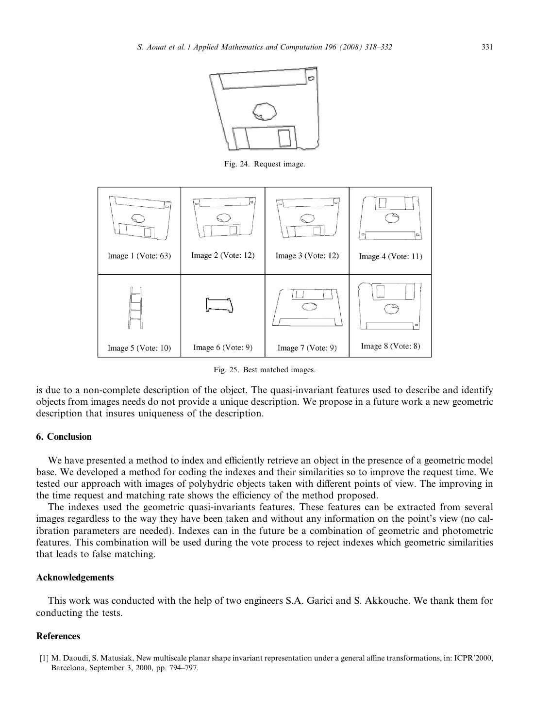

Fig. 24. Request image.

<span id="page-13-0"></span>

Fig. 25. Best matched images.

is due to a non-complete description of the object. The quasi-invariant features used to describe and identify objects from images needs do not provide a unique description. We propose in a future work a new geometric description that insures uniqueness of the description.

# 6. Conclusion

We have presented a method to index and efficiently retrieve an object in the presence of a geometric model base. We developed a method for coding the indexes and their similarities so to improve the request time. We tested our approach with images of polyhydric objects taken with different points of view. The improving in the time request and matching rate shows the efficiency of the method proposed.

The indexes used the geometric quasi-invariants features. These features can be extracted from several images regardless to the way they have been taken and without any information on the point's view (no calibration parameters are needed). Indexes can in the future be a combination of geometric and photometric features. This combination will be used during the vote process to reject indexes which geometric similarities that leads to false matching.

### Acknowledgements

This work was conducted with the help of two engineers S.A. Garici and S. Akkouche. We thank them for conducting the tests.

### References

[1] M. Daoudi, S. Matusiak, New multiscale planar shape invariant representation under a general affine transformations, in: ICPR'2000, Barcelona, September 3, 2000, pp. 794–797.